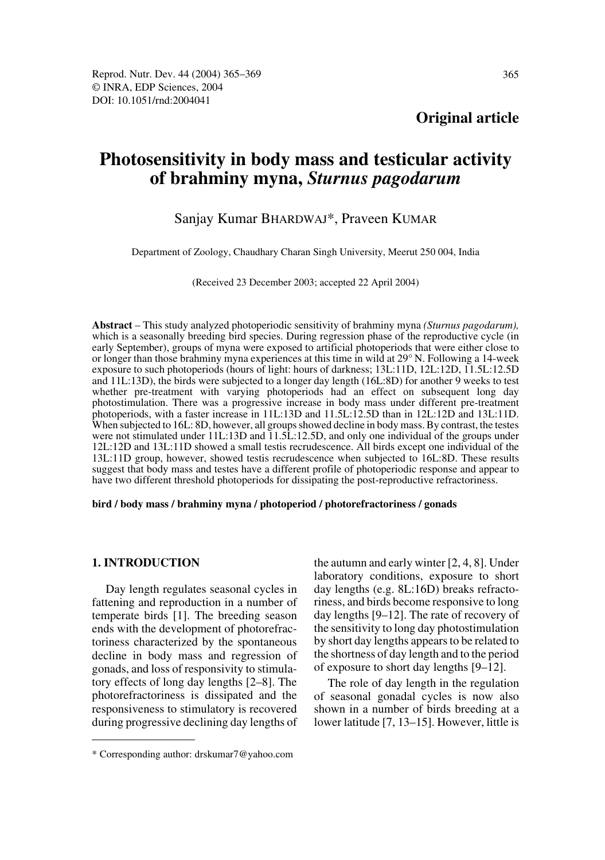# **Photosensitivity in body mass and testicular activity of brahminy myna,** *Sturnus pagodarum*

# Sanjay Kumar BHARDWAJ\*, Praveen KUMAR

Department of Zoology, Chaudhary Charan Singh University, Meerut 250 004, India

(Received 23 December 2003; accepted 22 April 2004)

**Abstract** – This study analyzed photoperiodic sensitivity of brahminy myna *(Sturnus pagodarum),* which is a seasonally breeding bird species. During regression phase of the reproductive cycle (in early September), groups of myna were exposed to artificial photoperiods that were either close to or longer than those brahminy myna experiences at this time in wild at 29° N. Following a 14-week exposure to such photoperiods (hours of light: hours of darkness; 13L:11D, 12L:12D, 11.5L:12.5D and 11L:13D), the birds were subjected to a longer day length (16L:8D) for another 9 weeks to test whether pre-treatment with varying photoperiods had an effect on subsequent long day photostimulation. There was a progressive increase in body mass under different pre-treatment photoperiods, with a faster increase in 11L:13D and 11.5L:12.5D than in 12L:12D and 13L:11D. When subjected to 16L: 8D, however, all groups showed decline in body mass. By contrast, the testes were not stimulated under 11L:13D and  $\tilde{1}1.5\tilde{L}$ :12.5D, and only one individual of the groups under 12L:12D and 13L:11D showed a small testis recrudescence. All birds except one individual of the 13L:11D group, however, showed testis recrudescence when subjected to 16L:8D. These results suggest that body mass and testes have a different profile of photoperiodic response and appear to have two different threshold photoperiods for dissipating the post-reproductive refractoriness.

**bird / body mass / brahminy myna / photoperiod / photorefractoriness / gonads** 

## **1. INTRODUCTION**

Day length regulates seasonal cycles in fattening and reproduction in a number of temperate birds [1]. The breeding season ends with the development of photorefractoriness characterized by the spontaneous decline in body mass and regression of gonads, and loss of responsivity to stimulatory effects of long day lengths [2–8]. The photorefractoriness is dissipated and the responsiveness to stimulatory is recovered during progressive declining day lengths of

day lengths [9–12]. The rate of recovery of the sensitivity to long day photostimulation by short day lengths appears to be related to the shortness of day length and to the period of exposure to short day lengths [9–12]. The role of day length in the regulation

of seasonal gonadal cycles is now also shown in a number of birds breeding at a lower latitude [7, 13–15]. However, little is

the autumn and early winter [2, 4, 8]. Under laboratory conditions, exposure to short day lengths (e.g. 8L:16D) breaks refractoriness, and birds become responsive to long

<sup>\*</sup> Corresponding author: drskumar7@yahoo.com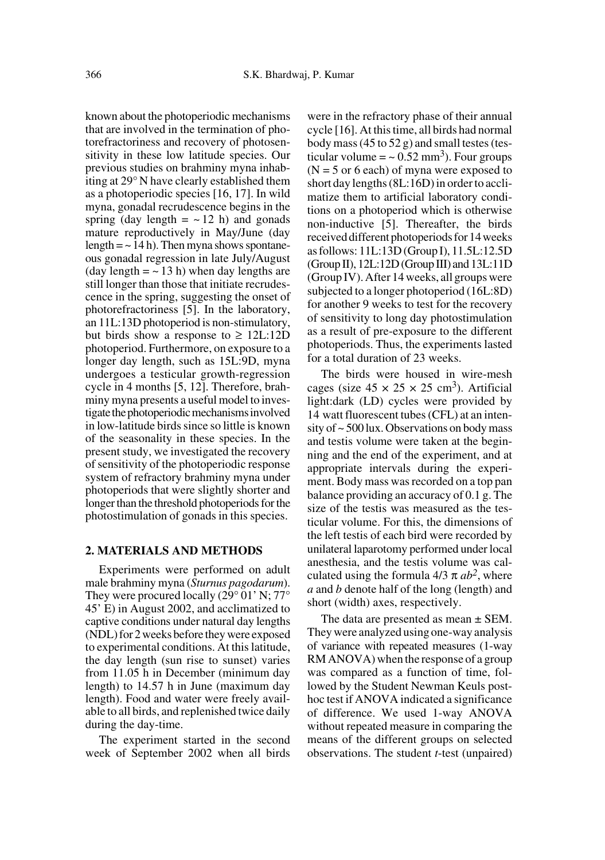known about the photoperiodic mechanisms that are involved in the termination of photorefractoriness and recovery of photosensitivity in these low latitude species. Our previous studies on brahminy myna inhabiting at 29° N have clearly established them as a photoperiodic species [16, 17]. In wild myna, gonadal recrudescence begins in the spring (day length  $=$   $\sim$  12 h) and gonads mature reproductively in May/June (day length  $=$   $\sim$  14 h). Then myna shows spontaneous gonadal regression in late July/August (day length  $=$   $\sim$  13 h) when day lengths are still longer than those that initiate recrudescence in the spring, suggesting the onset of photorefractoriness [5]. In the laboratory, an 11L:13D photoperiod is non-stimulatory, but birds show a response to  $\geq 12L:12D$ photoperiod. Furthermore, on exposure to a longer day length, such as 15L:9D, myna undergoes a testicular growth-regression cycle in 4 months [5, 12]. Therefore, brahminy myna presents a useful model to investigate the photoperiodic mechanisms involved in low-latitude birds since so little is known of the seasonality in these species. In the present study, we investigated the recovery of sensitivity of the photoperiodic response system of refractory brahminy myna under photoperiods that were slightly shorter and longer than the threshold photoperiods for the photostimulation of gonads in this species.

#### **2. MATERIALS AND METHODS**

Experiments were performed on adult male brahminy myna (*Sturnus pagodarum*). They were procured locally (29° 01' N; 77° 45' E) in August 2002, and acclimatized to captive conditions under natural day lengths (NDL) for 2 weeks before they were exposed to experimental conditions. At this latitude, the day length (sun rise to sunset) varies from 11.05 h in December (minimum day length) to 14.57 h in June (maximum day length). Food and water were freely available to all birds, and replenished twice daily during the day-time.

The experiment started in the second week of September 2002 when all birds were in the refractory phase of their annual cycle [16]. At this time, all birds had normal body mass (45 to 52 g) and small testes (testicular volume  $=$  ~ 0.52 mm<sup>3</sup>). Four groups  $(N = 5 \text{ or } 6 \text{ each})$  of myna were exposed to short day lengths (8L:16D) in order to acclimatize them to artificial laboratory conditions on a photoperiod which is otherwise non-inductive [5]. Thereafter, the birds received different photoperiods for 14 weeks as follows: 11L:13D (Group I), 11.5L:12.5D (Group II), 12L:12D (Group III) and 13L:11D (Group IV). After 14 weeks, all groups were subjected to a longer photoperiod (16L:8D) for another 9 weeks to test for the recovery of sensitivity to long day photostimulation as a result of pre-exposure to the different photoperiods. Thus, the experiments lasted for a total duration of 23 weeks.

The birds were housed in wire-mesh cages (size  $45 \times 25 \times 25$  cm<sup>3</sup>). Artificial light:dark (LD) cycles were provided by 14 watt fluorescent tubes (CFL) at an intensity of ~ 500 lux. Observations on body mass and testis volume were taken at the beginning and the end of the experiment, and at appropriate intervals during the experiment. Body mass was recorded on a top pan balance providing an accuracy of 0.1 g. The size of the testis was measured as the testicular volume. For this, the dimensions of the left testis of each bird were recorded by unilateral laparotomy performed under local anesthesia, and the testis volume was calculated using the formula  $4/3 \pi ab^2$ , where *a* and *b* denote half of the long (length) and short (width) axes, respectively.

The data are presented as mean  $\pm$  SEM. They were analyzed using one-way analysis of variance with repeated measures (1-way RM ANOVA) when the response of a group was compared as a function of time, followed by the Student Newman Keuls posthoc test if ANOVA indicated a significance of difference. We used 1-way ANOVA without repeated measure in comparing the means of the different groups on selected observations. The student *t*-test (unpaired)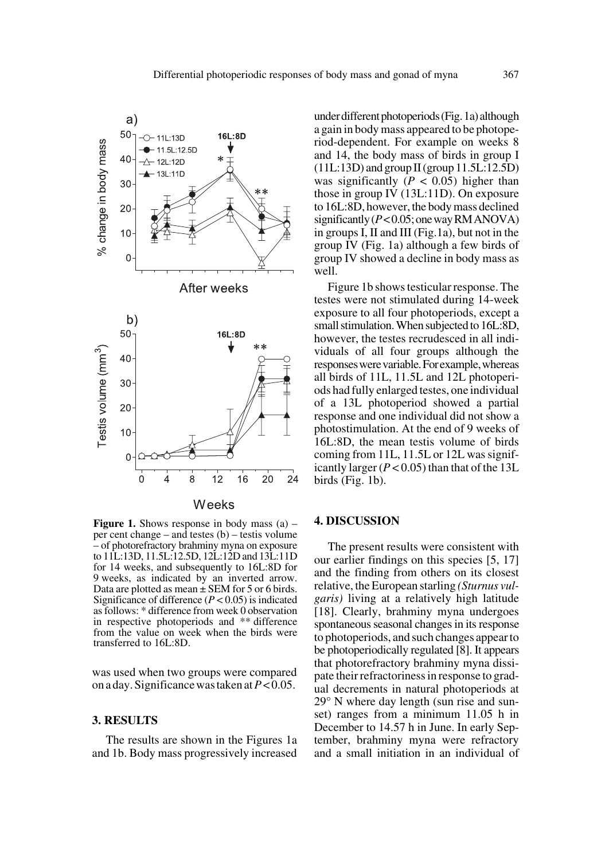

**Figure 1.** Shows response in body mass (a) – per cent change – and testes (b) – testis volume – of photorefractory brahminy myna on exposure to 11L:13D, 11.5L:12.5D, 12L:12D and 13L:11D for 14 weeks, and subsequently to 16L:8D for 9 weeks, as indicated by an inverted arrow. Data are plotted as mean  $\pm$  SEM for 5 or 6 birds. Significance of difference  $(P < 0.05)$  is indicated as follows: \* difference from week 0 observation in respective photoperiods and \*\* difference from the value on week when the birds were transferred to 16L:8D.

was used when two groups were compared on a day. Significance was taken at *P* < 0.05.

#### **3. RESULTS**

The results are shown in the Figures 1a and 1b. Body mass progressively increased

under different photoperiods (Fig. 1a) although a gain in body mass appeared to be photoperiod-dependent. For example on weeks 8 and 14, the body mass of birds in group I  $(11L:13D)$  and group II (group  $11.5L:12.5D$ ) was significantly  $(P < 0.05)$  higher than those in group IV (13L:11D). On exposure to 16L:8D, however, the body mass declined significantly (*P* < 0.05; one way RM ANOVA) in groups I, II and III (Fig.1a), but not in the group IV (Fig. 1a) although a few birds of group IV showed a decline in body mass as well.

Figure 1b shows testicular response. The testes were not stimulated during 14-week exposure to all four photoperiods, except a small stimulation.When subjected to 16L:8D, however, the testes recrudesced in all individuals of all four groups although the responses were variable. For example, whereas all birds of 11L, 11.5L and 12L photoperiods had fully enlarged testes, one individual of a 13L photoperiod showed a partial response and one individual did not show a photostimulation. At the end of 9 weeks of 16L:8D, the mean testis volume of birds coming from 11L, 11.5L or 12L was significantly larger  $(P < 0.05)$  than that of the 13L birds (Fig. 1b).

#### **4. DISCUSSION**

The present results were consistent with our earlier findings on this species [5, 17] and the finding from others on its closest relative, the European starling *(Sturnus vulgaris)* living at a relatively high latitude [18]. Clearly, brahminy myna undergoes spontaneous seasonal changes in its response to photoperiods, and such changes appear to be photoperiodically regulated [8]. It appears that photorefractory brahminy myna dissipate their refractoriness in response to gradual decrements in natural photoperiods at 29° N where day length (sun rise and sunset) ranges from a minimum 11.05 h in December to 14.57 h in June. In early September, brahminy myna were refractory and a small initiation in an individual of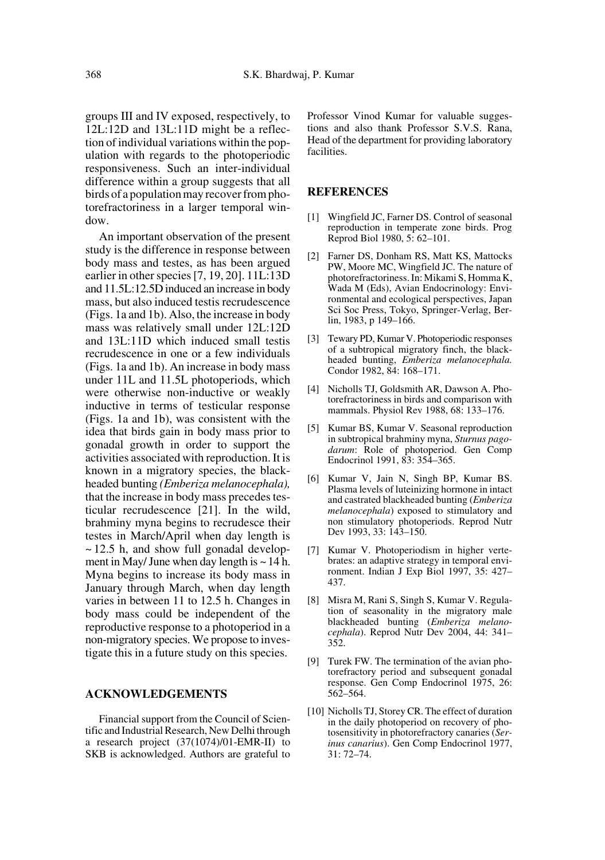groups III and IV exposed, respectively, to 12L:12D and 13L:11D might be a reflection of individual variations within the population with regards to the photoperiodic responsiveness. Such an inter-individual difference within a group suggests that all birds of a population may recover from photorefractoriness in a larger temporal window.

An important observation of the present study is the difference in response between body mass and testes, as has been argued earlier in other species [7, 19, 20]. 11L:13D and 11.5L:12.5D induced an increase in body mass, but also induced testis recrudescence (Figs. 1a and 1b). Also, the increase in body mass was relatively small under 12L:12D and 13L:11D which induced small testis recrudescence in one or a few individuals (Figs. 1a and 1b). An increase in body mass under 11L and 11.5L photoperiods, which were otherwise non-inductive or weakly inductive in terms of testicular response (Figs. 1a and 1b), was consistent with the idea that birds gain in body mass prior to gonadal growth in order to support the activities associated with reproduction. It is known in a migratory species, the blackheaded bunting *(Emberiza melanocephala),* that the increase in body mass precedes testicular recrudescence [21]. In the wild, brahminy myna begins to recrudesce their testes in March/April when day length is  $\sim$  12.5 h, and show full gonadal development in May/ June when day length is  $\sim$  14 h. Myna begins to increase its body mass in January through March, when day length varies in between 11 to 12.5 h. Changes in body mass could be independent of the reproductive response to a photoperiod in a non-migratory species. We propose to investigate this in a future study on this species.

## **ACKNOWLEDGEMENTS**

Financial support from the Council of Scientific and Industrial Research, New Delhi through a research project (37(1074)/01-EMR-II) to SKB is acknowledged. Authors are grateful to

Professor Vinod Kumar for valuable suggestions and also thank Professor S.V.S. Rana, Head of the department for providing laboratory facilities.

#### **REFERENCES**

- [1] Wingfield JC, Farner DS. Control of seasonal reproduction in temperate zone birds. Prog Reprod Biol 1980, 5: 62–101.
- [2] Farner DS, Donham RS, Matt KS, Mattocks PW, Moore MC, Wingfield JC. The nature of photorefractoriness. In: Mikami S, Homma K, Wada M (Eds), Avian Endocrinology: Environmental and ecological perspectives, Japan Sci Soc Press, Tokyo, Springer-Verlag, Berlin, 1983, p 149–166.
- [3] Tewary PD, Kumar V. Photoperiodic responses of a subtropical migratory finch, the blackheaded bunting, *Emberiza melanocephala.* Condor 1982, 84: 168–171.
- [4] Nicholls TJ, Goldsmith AR, Dawson A. Photorefractoriness in birds and comparison with mammals. Physiol Rev 1988, 68: 133–176.
- [5] Kumar BS, Kumar V. Seasonal reproduction in subtropical brahminy myna, *Sturnus pagodarum*: Role of photoperiod. Gen Comp Endocrinol 1991, 83: 354–365.
- Kumar V, Jain N, Singh BP, Kumar BS. Plasma levels of luteinizing hormone in intact and castrated blackheaded bunting (*Emberiza melanocephala*) exposed to stimulatory and non stimulatory photoperiods. Reprod Nutr Dev 1993, 33: 143–150.
- [7] Kumar V. Photoperiodism in higher vertebrates: an adaptive strategy in temporal environment. Indian J Exp Biol 1997, 35: 427– 437.
- [8] Misra M, Rani S, Singh S, Kumar V. Regulation of seasonality in the migratory male blackheaded bunting (*Emberiza melanocephala*). Reprod Nutr Dev 2004, 44: 341– 352.
- [9] Turek FW. The termination of the avian photorefractory period and subsequent gonadal response. Gen Comp Endocrinol 1975, 26: 562–564.
- [10] Nicholls TJ, Storey CR. The effect of duration in the daily photoperiod on recovery of photosensitivity in photorefractory canaries (*Serinus canarius*). Gen Comp Endocrinol 1977, 31: 72–74.